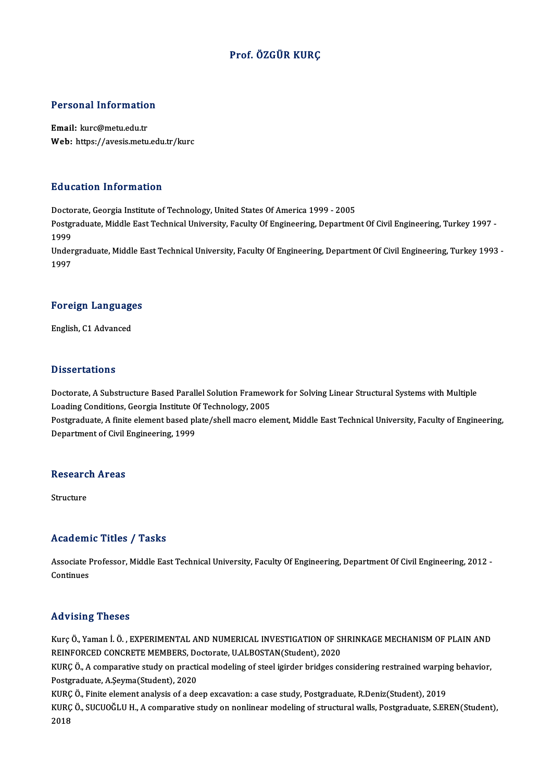### Prof. ÖZGÜR KURÇ

# Personal Information

Personal Informatio<br>Email: kurc@metu.edu.tr<br>Web: https://avesis.metu Email: kurc@metu.edu.tr<br>Web: https://avesis.metu.edu.tr/kurc

#### Education Information

Education Information<br>Doctorate, Georgia Institute of Technology, United States Of America 1999 - 2005<br>Postsraduate Middle Fast Technical University, Faculty Of Engineering, Denartmen

Postgraduate, Middle East Technical University, Faculty Of Engineering, Department Of Civil Engineering, Turkey 1997 -<br>1999 Docto<br>Postgi<br>1999<br>Under Postgraduate, Middle East Technical University, Faculty Of Engineering, Department Of Civil Engineering, Turkey 1997 -<br>1999<br>Undergraduate, Middle East Technical University, Faculty Of Engineering, Department Of Civil Engin

1999<br>Under<br>1997

### 1<sup>997</sup><br>Foreign Languages F<mark>oreign Languag</mark>e<br>English, C1 Advanced

English, C1 Advanced<br>Dissertations

Doctorate, A Substructure Based Parallel Solution Framework for Solving Linear Structural Systems with Multiple Loading Conditions, Georgia Institute Of Technology, 2005 Doctorate, A Substructure Based Parallel Solution Framework for Solving Linear Structural Systems with Multiple<br>Loading Conditions, Georgia Institute Of Technology, 2005<br>Postgraduate, A finite element based plate/shell mac

Loading Conditions, Georgia Institute O<br>Postgraduate, A finite element based pl<br>Department of Civil Engineering, 1999

### Department of Civil I<br>Research Areas Re<mark>searc</mark><br>Structure

# Academic Titles / Tasks

Academic Titles / Tasks<br>Associate Professor, Middle East Technical University, Faculty Of Engineering, Department Of Civil Engineering, 2012 -<br>Continues Associate I<br>Continues

# Advising Theses

Advising Theses<br>Kurç Ö., Yaman İ. Ö. , EXPERIMENTAL AND NUMERICAL INVESTIGATION OF SHRINKAGE MECHANISM OF PLAIN AND<br>REINEORCED CONCRETE MEMBERS, Destarte JLALBOSTAN(Student), 2020 ree vising interest<br>Kurç Ö., Yaman İ. Ö. , EXPERIMENTAL AND NUMERICAL INVESTIGATION OF SI<br>REINFORCED CONCRETE MEMBERS, Doctorate, U.ALBOSTAN(Student), 2020<br>KURC Ö. A semnerative study en prestisel modeling of steel isinder Kurç Ö., Yaman İ. Ö. , EXPERIMENTAL AND NUMERICAL INVESTIGATION OF SHRINKAGE MECHANISM OF PLAIN AND<br>REINFORCED CONCRETE MEMBERS, Doctorate, U.ALBOSTAN(Student), 2020<br>KURÇ Ö., A comparative study on practical modeling of st

REINFORCED CONCRETE MEMBERS, Don<br>KURÇ Ö., A comparative study on practic<br>Postgraduate, A.Şeyma(Student), 2020<br>KURÇ Ö., Finite alemant analysis of a de KURÇ Ö., A comparative study on practical modeling of steel igirder bridges considering restrained warpin<br>Postgraduate, A.Şeyma(Student), 2020<br>KURÇ Ö., Finite element analysis of a deep excavation: a case study, Postgradua

Postgraduate, A.Şeyma(Student), 2020<br>KURÇ Ö., Finite element analysis of a deep excavation: a case study, Postgraduate, R.Deniz(Student), 2019<br>KURÇ Ö., SUCUOĞLU H., A comparative study on nonlinear modeling of structural w KURÇ<br>KURÇ<br>2018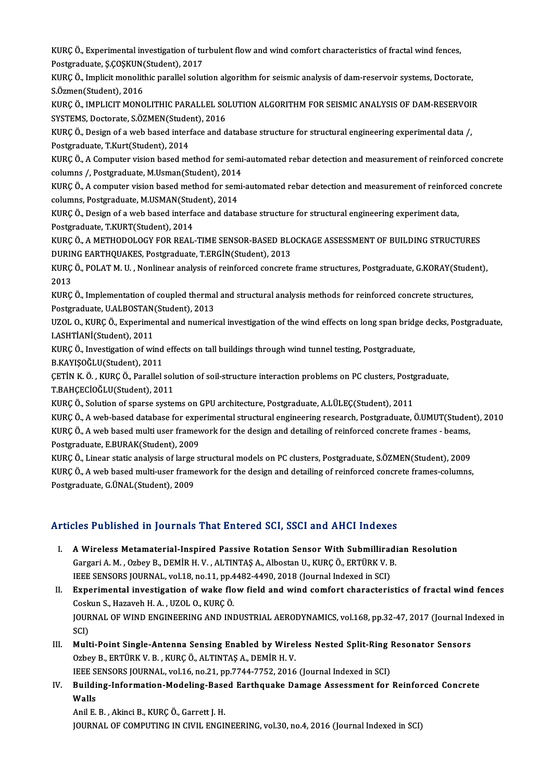KURÇ Ö., Experimental investigation of turbulent flow and wind comfort characteristics of fractal wind fences,<br>Restanaduate S.COSKUN(Student), 2017 KURÇ Ö., Experimental investigation of tu<br>Postgraduate, Ş.ÇOŞKUN(Student), 2017<br>KURÇ Ö. İmplisit monalithis narallal salut KURÇ Ö., Experimental investigation of turbulent flow and wind comfort characteristics of fractal wind fences,<br>Postgraduate, Ş.ÇOŞKUN(Student), 2017<br>KURÇ Ö., Implicit monolithic parallel solution algorithm for seismic anal

Postgraduate, Ş.ÇOŞKUN<br>KURÇ Ö., Implicit monoliti<br>S.Özmen(Student), 2016<br>KURÇ Ö. JMPLICIT MONO KURÇ Ö., Implicit monolithic parallel solution algorithm for seismic analysis of dam-reservoir systems, Doctorate,<br>S.Özmen(Student), 2016<br>KURÇ Ö., IMPLICIT MONOLITHIC PARALLEL SOLUTION ALGORITHM FOR SEISMIC ANALYSIS OF DAM

S.Özmen(Student), 2016<br>KURÇ Ö., IMPLICIT MONOLITHIC PARALLEL SO<br>SYSTEMS, Doctorate, S.ÖZMEN(Student), 2016<br>KURÇ Ö. Dosisn of a vrab based interface and d KURÇ Ö., IMPLICIT MONOLITHIC PARALLEL SOLUTION ALGORITHM FOR SEISMIC ANALYSIS OF DAM-RESERVOI<br>SYSTEMS, Doctorate, S.ÖZMEN(Student), 2016<br>KURÇ Ö., Design of a web based interface and database structure for structural engine

SYSTEMS, Doctorate, S.ÖZMEN(Stude:<br>KURÇ Ö., Design of a web based interi<br>Postgraduate, T.Kurt(Student), 2014<br>KURC Ö. A Computer vision based me KURÇ Ö., Design of a web based interface and database structure for structural engineering experimental data /,<br>Postgraduate, T.Kurt(Student), 2014<br>KURÇ Ö., A Computer vision based method for semi-automated rebar detection

Postgraduate, T.Kurt(Student), 2014<br>KURÇ Ö., A Computer vision based method for semi<br>columns /, Postgraduate, M.Usman(Student), 2014<br>KURC Ö. A computer vision based method for semi KURÇ Ö., A Computer vision based method for semi-automated rebar detection and measurement of reinforced concrete<br>columns /, Postgraduate, M.Usman(Student), 2014<br>KURÇ Ö., A computer vision based method for semi-automated r

columns /, Postgraduate, M.Usman(Student), 2014<br>KURÇ Ö., A computer vision based method for semi-automated rebar detection and measurement of reinforced concrete<br>columns, Postgraduate, M.USMAN(Student), 2014

KURÇ Ö., Design of a web based interface and database structure for structural engineering experiment data, Postgraduate, T.KURT(Student), 2014 KURÇ Ö., Design of a web based interface and database structure for structural engineering experiment data,<br>Postgraduate, T.KURT(Student), 2014<br>KURÇ Ö., A METHODOLOGY FOR REAL-TIME SENSOR-BASED BLOCKAGE ASSESSMENT OF BUILD

Postgraduate, T.KURT(Student), 2014<br>KURÇ Ö., A METHODOLOGY FOR REAL-TIME SENSOR-BASED BLO<br>DURING EARTHQUAKES, Postgraduate, T.ERGİN(Student), 2013<br>KURÇ Ö. POLAT M. U., Nonlinear analysis of reinforsed sensyste KURÇ Ö., A METHODOLOGY FOR REAL-TIME SENSOR-BASED BLOCKAGE ASSESSMENT OF BUILDING STRUCTURES<br>DURING EARTHQUAKES, Postgraduate, T.ERGİN(Student), 2013<br>KURÇ Ö., POLAT M. U. , Nonlinear analysis of reinforced concrete frame s

DURING EARTHQUAKES, Postgraduate, T.ERGİN(Student), 2013<br>KURÇ Ö., POLAT M. U. , Nonlinear analysis of reinforced concrete frame structures, Postgraduate, G.KORAY(Student),<br>2013 KURÇ Ö., POLAT M. U. , Nonlinear analysis of reinforced concrete frame structures, Postgraduate, G.KORAY(Stude<br>2013<br>KURÇ Ö., Implementation of coupled thermal and structural analysis methods for reinforced concrete structu

2013<br>KURÇ Ö., Implementation of coupled thermal<br>Postgraduate, U.ALBOSTAN(Student), 2013<br>UZOL O. KURÇ Ö. Evnerimentel and numeris KURÇ Ö., Implementation of coupled thermal and structural analysis methods for reinforced concrete structures,<br>Postgraduate, U.ALBOSTAN(Student), 2013<br>UZOL O., KURÇ Ö., Experimental and numerical investigation of the wind

Postgraduate, U.ALBOSTAN(Student), 2013<br>UZOL O., KURÇ Ö., Experimental and numerical investigation of the wind effects on long span bridge decks, Postgraduate,<br>I.ASHTİANİ(Student), 2011 UZOL O., KURÇ Ö., Experimental and numerical investigation of the wind effects on long span brid<sub>!</sub><br>I.ASHTİANİ(Student), 2011<br>KURÇ Ö., Investigation of wind effects on tall buildings through wind tunnel testing, Postgradua

I.ASHTİANİ(Student), 2011<br>KURÇ Ö., Investigation of wind<br>B.KAYIŞOĞLU(Student), 2011<br>CETİN K.Ö., KURÇ Ö. Parallalı

KURÇ Ö., Investigation of wind effects on tall buildings through wind tunnel testing, Postgraduate,<br>B.KAYIŞOĞLU(Student), 2011<br>ÇETİN K. Ö. , KURÇ Ö., Parallel solution of soil-structure interaction problems on PC clusters, B.KAYIŞOĞLU(Student), 2011<br>ÇETİN K. Ö. , KURÇ Ö., Parallel solı<br>T.BAHÇECİOĞLU(Student), 2011<br>KURÇ Ö. Solution of sparse sustal CETIN K. Ö. , KURÇ Ö., Parallel solution of soil-structure interaction problems on PC clusters, Postg<br>T.BAHCECİOĞLU(Student), 2011<br>KURC Ö., Solution of sparse systems on GPU architecture, Postgraduate, A.LÜLEC(Student), 20

T.BAHÇECİOĞLU(Student), 2011<br>KURÇ Ö., Solution of sparse systems on GPU architecture, Postgraduate, A.LÜLEÇ(Student), 2011<br>KURÇ Ö., A web-based database for experimental structural engineering research, Postgraduate, Ö.UMU

KURÇ Ö., Solution of sparse systems on GPU architecture, Postgraduate, A.LÜLEÇ(Student), 2011<br>KURÇ Ö., A web-based database for experimental structural engineering research, Postgraduate, Ö.UMUT(Studer<br>KURÇ Ö., A web based KURÇ Ö., A web-based database for expe<br>KURÇ Ö., A web based multi user framev<br>Postgraduate, E.BURAK(Student), 2009<br>KURC Ö. Lineer statis analysis of large s KURÇ Ö., A web based multi user framework for the design and detailing of reinforced concrete frames - beams,<br>Postgraduate, E.BURAK(Student), 2009<br>KURÇ Ö., Linear static analysis of large structural models on PC clusters,

Postgraduate, E.BURAK(Student), 2009<br>KURÇ Ö., Linear static analysis of large structural models on PC clusters, Postgraduate, S.ÖZMEN(Student), 2009<br>KURÇ Ö., A web based multi-user framework for the design and detailing of Postgraduate, G.ÜNAL(Student), 2009

### Articles Published in Journals That Entered SCI, SSCI and AHCI Indexes

- I. A Wireless Metamaterial-Inspired Passive Rotation Sensor With Submilliradian Resolution SEC 1 denoncu in journale That Enter ou out, eest and three indence<br>A Wireless Metamaterial-Inspired Passive Rotation Sensor With Submilliradi<br>Gargari A. M., Ozbey B., DEMİR H. V., ALTINTAŞ A., Albostan U., KURÇ Ö., ERTÜRK A Wireless Metamaterial-Inspired Passive Rotation Sensor With Submillira<br>Gargari A. M., Ozbey B., DEMİR H. V., ALTINTAŞ A., Albostan U., KURÇ Ö., ERTÜRK V. I<br>IEEE SENSORS JOURNAL, vol.18, no.11, pp.4482-4490, 2018 (Journal IEEE SENSORS JOURNAL, vol.18, no.11, pp.4482-4490, 2018 (Journal Indexed in SCI)
- II. Experimental investigation of wake flow field and wind comfort characteristics of fractal wind fences JOURNAL OF WIND ENGINEERING AND INDUSTRIAL AERODYNAMICS, vol.168, pp.32-47, 2017 (Journal Indexed in SCI) Coskun S., Hazaveh H. A., UZOL O., KURÇ Ö. JOURNAL OF WIND ENGINEERING AND INDUSTRIAL AERODYNAMICS, vol.168, pp.32-47, 2017 (Journal In SCI)<br>SCI)<br>III. Multi-Point Single-Antenna Sensing Enabled by Wireless Nested Split-Ring Resonator Sensors<br>Orboy B. EDTÜRKV B. KUR
- SCI)<br>Multi-Point Single-Antenna Sensing Enabled by Wirel<br>Ozbey B., ERTÜRK V. B. , KURÇ Ö., ALTINTAŞ A., DEMİR H. V.<br>JEEE SENSORS JOUPNAL, vol 16, po 31, pp 7744, 7752, 2016 Multi-Point Single-Antenna Sensing Enabled by Wireless Nested Split-Ring I<br>Ozbey B., ERTÜRK V. B. , KURÇ Ö., ALTINTAŞ A., DEMİR H. V.<br>IEEE SENSORS JOURNAL, vol.16, no.21, pp.7744-7752, 2016 (Journal Indexed in SCI)<br>Puildin Ozbey B., ERTÜRK V. B. , KURÇ Ö., ALTINTAŞ A., DEMİR H. V.<br>IEEE SENSORS JOURNAL, vol.16, no.21, pp.7744-7752, 2016 (Journal Indexed in SCI)<br>IV. Building-Information-Modeling-Based Earthquake Damage Assessment for Reinforce
- IEEE SENSORS JOURNAL, vol.16, no.21, pp.7744-7752, 2016 (Journal Indexed in SCI)<br>Building-Information-Modeling-Based Earthquake Damage Assessment for<br>Walls<br>Anil E. B. , Akinci B., KURÇ Ö., Garrett J. H. Building-Information-Modeling-Base<br>Walls<br>Anil E. B. , Akinci B., KURÇ Ö., Garrett J. H.<br>JOUPMAL OF COMBUTING IN CIVIL ENGU

JOURNAL OF COMPUTING IN CIVIL ENGINEERING, vol.30, no.4, 2016 (Journal Indexed in SCI)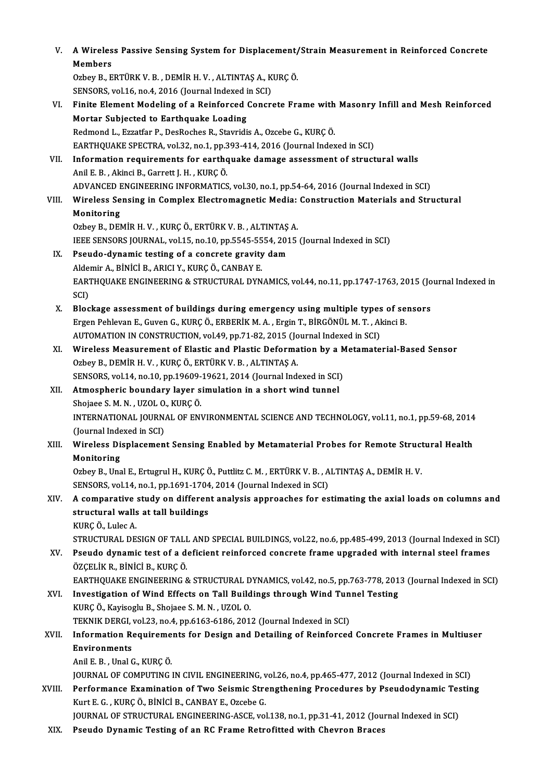| V.     | A Wireless Passive Sensing System for Displacement/Strain Measurement in Reinforced Concrete<br>Members                                                                              |
|--------|--------------------------------------------------------------------------------------------------------------------------------------------------------------------------------------|
|        | Ozbey B., ERTÜRK V. B., DEMİR H. V., ALTINTAŞ A., KURÇ Ö.                                                                                                                            |
|        | SENSORS, vol.16, no.4, 2016 (Journal Indexed in SCI)                                                                                                                                 |
| VI.    | Finite Element Modeling of a Reinforced Concrete Frame with Masonry Infill and Mesh Reinforced                                                                                       |
|        | Mortar Subjected to Earthquake Loading                                                                                                                                               |
|        | Redmond L., Ezzatfar P., DesRoches R., Stavridis A., Ozcebe G., KURÇ Ö.                                                                                                              |
|        | EARTHQUAKE SPECTRA, vol.32, no.1, pp.393-414, 2016 (Journal Indexed in SCI)                                                                                                          |
| VII.   | Information requirements for earthquake damage assessment of structural walls                                                                                                        |
|        | Anil E. B., Akinci B., Garrett J. H., KURÇ Ö.                                                                                                                                        |
|        | ADVANCED ENGINEERING INFORMATICS, vol.30, no.1, pp.54-64, 2016 (Journal Indexed in SCI)                                                                                              |
| VIII.  | Wireless Sensing in Complex Electromagnetic Media: Construction Materials and Structural                                                                                             |
|        | Monitoring                                                                                                                                                                           |
|        | Ozbey B., DEMİR H. V., KURÇ Ö., ERTÜRK V. B., ALTINTAŞ A.                                                                                                                            |
|        | IEEE SENSORS JOURNAL, vol.15, no.10, pp.5545-5554, 2015 (Journal Indexed in SCI)                                                                                                     |
| IX.    | Pseudo-dynamic testing of a concrete gravity dam                                                                                                                                     |
|        | Aldemir A., BİNİCİ B., ARICI Y., KURÇ Ö., CANBAY E.                                                                                                                                  |
|        | EARTHQUAKE ENGINEERING & STRUCTURAL DYNAMICS, vol.44, no.11, pp.1747-1763, 2015 (Journal Indexed in                                                                                  |
|        | SCI)<br>Blockage assessment of buildings during emergency using multiple types of sensors                                                                                            |
| X.     | Ergen Pehlevan E., Guven G., KURÇ Ö., ERBERİK M. A., Ergin T., BİRGÖNÜL M. T., Akinci B.                                                                                             |
|        | AUTOMATION IN CONSTRUCTION, vol.49, pp.71-82, 2015 (Journal Indexed in SCI)                                                                                                          |
| XI.    | Wireless Measurement of Elastic and Plastic Deformation by a Metamaterial-Based Sensor                                                                                               |
|        | Ozbey B., DEMİR H. V., KURÇ Ö., ERTÜRK V. B., ALTINTAŞ A.                                                                                                                            |
|        | SENSORS, vol.14, no.10, pp.19609-19621, 2014 (Journal Indexed in SCI)                                                                                                                |
| XII.   | Atmospheric boundary layer simulation in a short wind tunnel                                                                                                                         |
|        | Shojaee S. M. N., UZOL O., KURÇ Ö.                                                                                                                                                   |
|        | INTERNATIONAL JOURNAL OF ENVIRONMENTAL SCIENCE AND TECHNOLOGY, vol.11, no.1, pp.59-68, 2014                                                                                          |
|        | (Journal Indexed in SCI)                                                                                                                                                             |
| XIII.  | Wireless Displacement Sensing Enabled by Metamaterial Probes for Remote Structural Health                                                                                            |
|        | Monitoring                                                                                                                                                                           |
|        | Ozbey B., Unal E., Ertugrul H., KURÇ Ö., Puttlitz C. M., ERTÜRK V. B., ALTINTAŞ A., DEMİR H. V.                                                                                      |
|        | SENSORS, vol.14, no.1, pp.1691-1704, 2014 (Journal Indexed in SCI)                                                                                                                   |
| XIV.   | A comparative study on different analysis approaches for estimating the axial loads on columns and                                                                                   |
|        | structural walls at tall buildings                                                                                                                                                   |
|        | KURÇ Ö., Lulec A.                                                                                                                                                                    |
|        | STRUCTURAL DESIGN OF TALL AND SPECIAL BUILDINGS, vol.22, no.6, pp.485-499, 2013 (Journal Indexed in SCI)                                                                             |
| XV.    | Pseudo dynamic test of a deficient reinforced concrete frame upgraded with internal steel frames                                                                                     |
|        | ÖZÇELİK R., BİNİCİ B., KURÇ Ö.                                                                                                                                                       |
| XVI.   | EARTHQUAKE ENGINEERING & STRUCTURAL DYNAMICS, vol.42, no.5, pp.763-778, 2013 (Journal Indexed in SCI)<br>Investigation of Wind Effects on Tall Buildings through Wind Tunnel Testing |
|        | KURÇ Ö., Kayisoglu B., Shojaee S. M. N., UZOL O.                                                                                                                                     |
|        | TEKNIK DERGI, vol.23, no.4, pp.6163-6186, 2012 (Journal Indexed in SCI)                                                                                                              |
| XVII.  | Information Requirements for Design and Detailing of Reinforced Concrete Frames in Multiuser                                                                                         |
|        | <b>Environments</b>                                                                                                                                                                  |
|        | Anil E B, Unal G, KURÇ Ö.                                                                                                                                                            |
|        | JOURNAL OF COMPUTING IN CIVIL ENGINEERING, vol.26, no.4, pp.465-477, 2012 (Journal Indexed in SCI)                                                                                   |
| XVIII. | Performance Examination of Two Seismic Strengthening Procedures by Pseudodynamic Testing                                                                                             |
|        | Kurt E. G., KURÇ Ö., BİNİCİ B., CANBAY E., Ozcebe G.                                                                                                                                 |
|        | JOURNAL OF STRUCTURAL ENGINEERING-ASCE, vol.138, no.1, pp.31-41, 2012 (Journal Indexed in SCI)                                                                                       |
| XIX.   | Pseudo Dynamic Testing of an RC Frame Retrofitted with Chevron Braces                                                                                                                |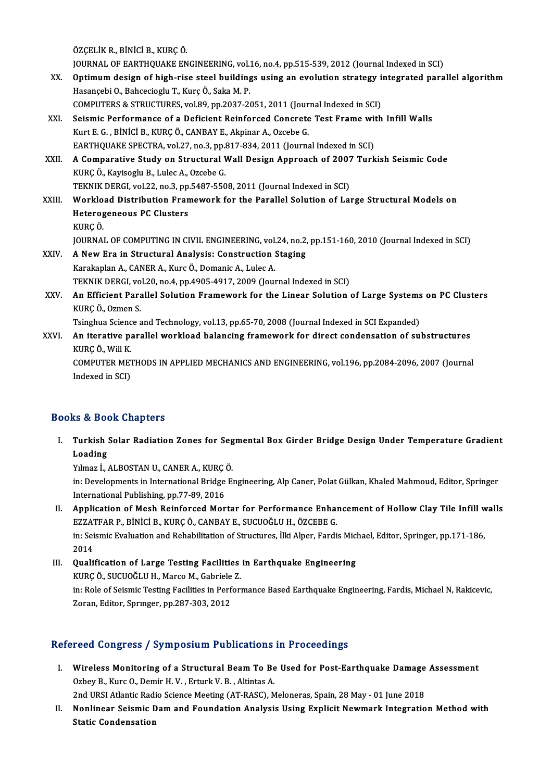ÖZÇELİKR.,BİNİCİB.,KURÇÖ.

ÖZÇELİK R., BİNİCİ B., KURÇ Ö.<br>JOURNAL OF EARTHQUAKE ENGINEERING, vol.16, no.4, pp.515-539, 2012 (Journal Indexed in SCI)<br>Ontimum design of bish nise steel buildings using an evolution strategy integrated nave

- ÖZÇELİK R., BİNİCİ B., KURÇ Ö.<br>JOURNAL OF EARTHQUAKE ENGINEERING, vol.16, no.4, pp.515-539, 2012 (Journal Indexed in SCI)<br>XX. Optimum design of high-rise steel buildings using an evolution strategy integrated parallel JOURNAL OF EARTHQUAKE ENGINEERING, vol.<br>Optimum design of high-rise steel building<br>Hasançebi O., Bahcecioglu T., Kurç Ö., Saka M. P.<br>COMBUTERS & STRUCTURES, vol.80, pp.2027-24 XX. Optimum design of high-rise steel buildings using an evolution strategy integrated parallel algorithm<br>Hasançebi O., Bahcecioglu T., Kurç Ö., Saka M. P.<br>COMPUTERS & STRUCTURES, vol.89, pp.2037-2051, 2011 (Journal Indexe Hasançebi O., Bahcecioglu T., Kurç Ö., Saka M. P.<br>COMPUTERS & STRUCTURES, vol.89, pp.2037-2051, 2011 (Journal Indexed in SCI)<br>XXI. Seismic Performance of a Deficient Reinforced Concrete Test Frame with Infill Walls<br>Kurt E.
- Kurt E. G. , BİNİCİ B., KURÇ Ö., CANBAY E., Akpinar A., Ozcebe G.<br>EARTHQUAKE SPECTRA, vol.27, no.3, pp.817-834, 2011 (Journal Indexed in SCI) Seismic Performance of a Deficient Reinforced Concrete Test Frame wit<br>Kurt E. G. , BİNİCİ B., KURÇ Ö., CANBAY E., Akpinar A., Ozcebe G.<br>EARTHQUAKE SPECTRA, vol.27, no.3, pp.817-834, 2011 (Journal Indexed in SCI)<br>A Comparat Kurt E. G. , BİNİCİ B., KURÇ Ö., CANBAY E., Akpinar A., Ozcebe G.<br>EARTHQUAKE SPECTRA, vol.27, no.3, pp.817-834, 2011 (Journal Indexed in SCI)<br>XXII. A Comparative Study on Structural Wall Design Approach of 2007 Turkish
- EARTHQUAKE SPECTRA, vol.27, no.3, pp.<br>A Comparative Study on Structural V<br>KURÇ Ö., Kayisoglu B., Lulec A., Ozcebe G.<br>TEKNIK DEPCL vol.22, no.2, np.5497, 550 A Comparative Study on Structural Wall Design Approach of 2007<br>KURÇ Ö., Kayisoglu B., Lulec A., Ozcebe G.<br>TEKNIK DERGI, vol.22, no.3, pp.5487-5508, 2011 (Journal Indexed in SCI)<br>Workload Distribution Enamowork for the Bara KURÇ Ö., Kayisoglu B., Lulec A., Ozcebe G.<br>TEKNIK DERGI, vol.22, no.3, pp.5487-5508, 2011 (Journal Indexed in SCI)<br>XXIII. Workload Distribution Framework for the Parallel Solution of Large Structural Models on
- TEKNIK DERGI, vol.22, no.3, pp.5487-5508, 2011 (Journal Indexed in SCI)<br>Workload Distribution Framework for the Parallel Solution of La<br>Heterogeneous PC Clusters<br>KURC Ö. Heterogeneous PC Clusters Heterogeneous PC Clusters<br>KURÇ Ö.<br>JOURNAL OF COMPUTING IN CIVIL ENGINEERING, vol.24, no.2, pp.151-160, 2010 (Journal Indexed in SCI)<br>A Now Ene in Strugtural Anglysis: Construction Staging
- XXIV. A New Era in Structural Analysis: Construction Staging<br>Karakaplan A., CANER A., Kurc Ö., Domanic A., Lulec A. JOURNAL OF COMPUTING IN CIVIL ENGINEERING, vol.<br>A New Era in Structural Analysis: Construction :<br>Karakaplan A., CANER A., Kurc Ö., Domanic A., Lulec A.<br>TEKNIK DEPCL vol.20, po 4, pp.4005-4017-2009 (Lou.) A New Era in Structural Analysis: Construction Staging<br>Karakaplan A., CANER A., Kurc Ö., Domanic A., Lulec A.<br>TEKNIK DERGI, vol.20, no.4, pp.4905-4917, 2009 (Journal Indexed in SCI)<br>An Efficient Perallel Solution Enamework
- Karakaplan A., CANER A., Kurc Ö., Domanic A., Lulec A.<br>TEKNIK DERGI, vol.20, no.4, pp.4905-4917, 2009 (Journal Indexed in SCI)<br>XXV. An Efficient Parallel Solution Framework for the Linear Solution of Large Systems on PC Cl TEKNIK DERGI, vo<br><mark>An Efficient Para</mark><br>KURÇ Ö., Ozmen S.<br>Tsingbue Ssiense s An Efficient Parallel Solution Framework for the Linear Solution of Large Systems<br>KURÇ Ö., Ozmen S.<br>Tsinghua Science and Technology, vol.13, pp.65-70, 2008 (Journal Indexed in SCI Expanded)<br>An iterative parallel workload b

Tsinghua Science and Technology, vol.13, pp.65-70, 2008 (Journal Indexed in SCI Expanded)

KURÇ Ö., Ozmen S.<br>Tsinghua Science and Technology, vol.13, pp.65-70, 2008 (Journal Indexed in SCI Expanded)<br>XXVI. An iterative parallel workload balancing framework for direct condensation of substructures<br>KURÇ Ö., Will K. An iterative parallel workload balancing framework for direct condensation of substructures<br>KURÇ Ö., Will K.<br>COMPUTER METHODS IN APPLIED MECHANICS AND ENGINEERING, vol.196, pp.2084-2096, 2007 (Journal<br>Indeved in SCD.

KURÇ Ö., Will K.<br>COMPUTER MET<br>Indexed in SCI)

# Indexed in SCI)<br>Books & Book Chapters

ooks & Book Chapters<br>I. Turkish Solar Radiation Zones for Segmental Box Girder Bridge Design Under Temperature Gradient<br>Loading roading<br>Turkish<br>Vilmes i Turkish Solar Radiation Zones for Seg<br>Loading<br>Yılmaz İ., ALBOSTAN U., CANER A., KURÇÖ.<br>in: Develonments in International Bridge E.

Loading<br>Yılmaz İ., ALBOSTAN U., CANER A., KURÇ Ö.<br>in: Developments in International Bridge Engineering, Alp Caner, Polat Gülkan, Khaled Mahmoud, Editor, Springer<br>International Bublishing pp 77-80-2016 Yılmaz İ., ALBOSTAN U., CANER A., KURÇ (<br>in: Developments in International Bridge<br>International Publishing, pp.77-89, 2016<br>Annligation of Mash Boinforsed Mor in: Developments in International Bridge Engineering, Alp Caner, Polat Gülkan, Khaled Mahmoud, Editor, Springer<br>International Publishing, pp.77-89, 2016<br>II. Application of Mesh Reinforced Mortar for Performance Enhancement

- International Publishing, pp.77-89, 2016<br>Application of Mesh Reinforced Mortar for Performance Enhalt<br>EZZATFAR P., BİNİCİ B., KURÇ Ö., CANBAY E., SUCUOĞLU H., ÖZCEBE G.<br>in: Seismis Evaluation and Pehabilitation of Structur Application of Mesh Reinforced Mortar for Performance Enhancement of Hollow Clay Tile Infill w<br>EZZATFAR P., BİNİCİ B., KURÇ Ö., CANBAY E., SUCUOĞLU H., ÖZCEBE G.<br>in: Seismic Evaluation and Rehabilitation of Structures, İlk EZZATFAR P., BİNİCİ B., KURÇ Ö., CANBAY E., SUCUOĞLU H., ÖZCEBE G.<br>in: Seismic Evaluation and Rehabilitation of Structures, İlki Alper, Fardis Michael, Editor, Springer, pp.171-186,<br>2014
- III. Qualification of Large Testing Facilities in Earthquake Engineering 2014<br>**Qualification of Large Testing Facilities<br>KURÇ Ö., SUCUOĞLU H., Marco M., Gabriele Z.<br>in: Bale of Scismis Testing Facilities in Perfer:** in: Role of Seismic Testing Facilities in Performance Based Earthquake Engineering, Fardis, Michael N, Rakicevic,<br>Zoran, Editor, Springer, pp.287-303, 2012 KURÇ Ö., SUCUOĞLU H., Marco M., Gabriele<br>in: Role of Seismic Testing Facilities in Perf<br>Zoran, Editor, Sprınger, pp.287-303, 2012

### Refereed Congress / Symposium Publications in Proceedings

efereed Congress / Symposium Publications in Proceedings<br>I. Wireless Monitoring of a Structural Beam To Be Used for Post-Earthquake Damage Assessment<br>Orboy B. Kure O. Domin H. V., Enturis V. B., Altintes A. Noted Congress / by inpostant Tubrications<br>
Wireless Monitoring of a Structural Beam To Be<br>
Ozbey B., Kurc O., Demir H. V., Erturk V. B., Altintas A. Wireless Monitoring of a Structural Beam To Be Used for Post-Earthquake Damage<br>Ozbey B., Kurc O., Demir H. V. , Erturk V. B. , Altintas A.<br>2nd URSI Atlantic Radio Science Meeting (AT-RASC), Meloneras, Spain, 28 May - 01 Ju Ozbey B., Kurc O., Demir H. V. , Erturk V. B. , Altintas A.<br>2nd URSI Atlantic Radio Science Meeting (AT-RASC), Meloneras, Spain, 28 May - 01 June 2018<br>II. Nonlinear Seismic Dam and Foundation Analysis Using Explicit Ne

Static Condensation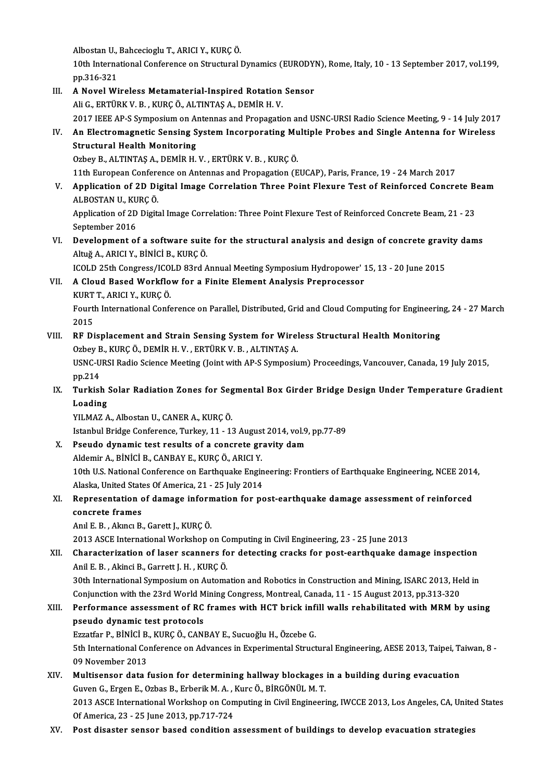.<br>Albostan U., Bahcecioglu T., ARICI Y., KURÇÖ.<br>10th International Conference on Structural I

10th International Conference on Structural Dynamics (EURODYN), Rome, Italy, 10 - 13 September 2017, vol.199, pp.316-321 Albostan U.,<br>10th Interna<br>pp.316-321<br>A Novel Wi

- 10th International Conference on Structural Dynamics (EURODY)<br>pp.316-321<br>III. A Novel Wireless Metamaterial-Inspired Rotation Sensor<br>Ali C EPTURY V B WIRGÖ ALTINTAS A DEMIR H V pp.316-321<br>A Novel Wireless Metamaterial-Inspired Rotation<br>Ali G., ERTÜRK V. B. , KURÇ Ö., ALTINTAŞ A., DEMİR H. V.<br>2017 JEEE AR S Symposium on Antonnas and Proposati Ali G., ERTÜRK V. B. , KURÇ Ö., ALTINTAŞ A., DEMİR H. V.<br>2017 IEEE AP-S Symposium on Antennas and Propagation and USNC-URSI Radio Science Meeting, 9 - 14 July 2017 Ali G., ERTÜRK V. B. , KURÇ Ö., ALTINTAŞ A., DEMİR H. V.<br>2017 IEEE AP-S Symposium on Antennas and Propagation and USNC-URSI Radio Science Meeting, 9 - 14 July 201?<br>IV. An Electromagnetic Sensing System Incorporating Mu 2017 IEEE AP-S Symposium on Al<br>An Electromagnetic Sensing S<br>Structural Health Monitoring<br>Orbey B. ALTINTAS A. DEMIP H An Electromagnetic Sensing System Incorporating Mu<br>Structural Health Monitoring<br>Ozbey B., ALTINTAŞ A., DEMİR H. V. , ERTÜRK V. B. , KURÇÖ.<br>11th European Conference en Antonnes and Proposation (E Structural Health Monitoring<br>Ozbey B., ALTINTAŞ A., DEMİR H. V. , ERTÜRK V. B. , KURÇ Ö.<br>11th European Conference on Antennas and Propagation (EUCAP), Paris, France, 19 - 24 March 2017 Ozbey B., ALTINTAŞ A., DEMİR H. V. , ERTÜRK V. B. , KURÇ Ö.<br>11th European Conference on Antennas and Propagation (EUCAP), Paris, France, 19 - 24 March 2017<br>11. Application of 2D Digital Image Correlation Three Point Flexur 11th European Confere<br>Application of 2D Di<br>ALBOSTAN U., KURÇÖ.<br>Application of 2D Digits Application of 2D Digital Image Correlation Three Point Flexure Test of Reinforced Concrete Be<br>ALBOSTAN U., KURÇ Ö.<br>Application of 2D Digital Image Correlation: Three Point Flexure Test of Reinforced Concrete Beam, 21 - 23 ALBOSTAN U., KURÇ Ö.<br>Application of 2D Digital Image Correlation: Three Point Flexure Test of Reinforced Concrete Beam, 21 - 23<br>September 2016 Application of 2D Digital Image Correlation: Three Point Flexure Test of Reinforced Concrete Beam, 21 - 23<br>September 2016<br>VI. Development of a software suite for the structural analysis and design of concrete gravity dams<br> AltuğA.,ARICIY.,BİNİCİB.,KURÇÖ. Development of a software suite for the structural analysis and design of concrete grav<br>Altuğ A., ARICI Y., BİNİCİ B., KURÇ Ö.<br>ICOLD 25th Congress/ICOLD 83rd Annual Meeting Symposium Hydropower' 15, 13 - 20 June 2015<br>A Cla VII. A Cloud Based Workflow for a Finite Element Analysis Preprocessor<br>KURT T., ARICI Y., KURC Ö. ICOLD 25th Congress/ICOLD 83rd Annual Meeting Symposium Hydropower' 15, 13 - 20 June 2015 A Cloud Based Workflow for a Finite Element Analysis Preprocessor<br>KURT T., ARICI Y., KURÇ Ö.<br>Fourth International Conference on Parallel, Distributed, Grid and Cloud Computing for Engineering, 24 - 27 March<br>2015 KURT<br>Fourt<br>2015<br>PE Di Fourth International Conference on Parallel, Distributed, Grid and Cloud Computing for Engineerin<br>2015<br>VIII. RF Displacement and Strain Sensing System for Wireless Structural Health Monitoring<br>20 November 20 November 1 Vir 2015<br>RF Displacement and Strain Sensing System for Wirel<br>Ozbey B., KURÇ Ö., DEMİR H. V. , ERTÜRK V. B. , ALTINTAŞ A.<br>USNC URSI Padia Science Meeting (Joint with AP S Symnesiu RF Displacement and Strain Sensing System for Wireless Structural Health Monitoring<br>Ozbey B., KURÇ Ö., DEMİR H. V. , ERTÜRK V. B. , ALTINTAŞ A.<br>USNC-URSI Radio Science Meeting (Joint with AP-S Symposium) Proceedings, Vanco Ozbey B<br>USNC-U<br>pp.214<br>Turkiel USNC-URSI Radio Science Meeting (Joint with AP-S Symposium) Proceedings, Vancouver, Canada, 19 July 2015,<br>pp.214<br>IX. Turkish Solar Radiation Zones for Segmental Box Girder Bridge Design Under Temperature Gradient pp.214<br>Turkish :<br>Loading<br>VU MAZ A Turkish Solar Radiation Zones for Seg<br>Loading<br>YILMAZ A., Albostan U., CANER A., KURÇÖ.<br>Istanbul Bridge Conference Turkey 11, 13 Loading<br>YILMAZ A., Albostan U., CANER A., KURÇ Ö.<br>Istanbul Bridge Conference, Turkey, 11 - 13 August 2014, vol.9, pp.77-89<br>Reaude dunamis tast reaults of a sanarsta sravity dam YILMAZ A., Albostan U., CANER A., KURÇ Ö.<br>Istanbul Bridge Conference, Turkey, 11 - 13 August 2014, vol.9<br>X. Pseudo dynamic test results of a concrete gravity dam Istanbul Bridge Conference, Turkey, 11 - 13 August<br>Pseudo dynamic test results of a concrete gr<br>Aldemir A., BİNİCİ B., CANBAY E., KURÇÖ., ARICI Y.<br>10th U.S. National Conference on Farthauelia Engir 10th U.S. National Conference on Earthquake Engineering: Frontiers of Earthquake Engineering, NCEE 2014,<br>10th U.S. National Conference on Earthquake Engineering: Frontiers of Earthquake Engineering, NCEE 2014, Aldemir A., BİNİCİ B., CANBAY E., KURÇ Ö., ARICI Y.<br>10th U.S. National Conference on Earthquake Engin<br>Alaska, United States Of America, 21 - 25 July 2014<br>Bennecentation of damage information for no 10th U.S. National Conference on Earthquake Engineering: Frontiers of Earthquake Engineering, NCEE 2014<br>Alaska, United States Of America, 21 - 25 July 2014<br>XI. Representation of damage information for post-earthquake damag Alaska, United State<br>Representation<br>concrete frames<br>Apr<sup>i E. B.</sup> Almar B. Representation of damage inforn<br>concrete frames<br>Anıl E. B. , Akıncı B., Garett J., KURÇÖ.<br>2012 ASCE International Warlsbon a concrete frames<br>Anıl E. B. , Akıncı B., Garett J., KURÇ Ö.<br>2013 ASCE International Workshop on Computing in Civil Engineering, 23 - 25 June 2013 Anıl E. B. , Akıncı B., Garett J., KURÇ Ö.<br>2013 ASCE International Workshop on Computing in Civil Engineering, 23 - 25 June 2013<br>XII. Characterization of laser scanners for detecting cracks for post-earthquake damage i 2013 ASCE International Workshop on Contracterization of laser scanners fo<br>Anil E. B. , Akinci B., Garrett J. H. , KURÇÖ.<br>20th International Symnosium on Autema Characterization of laser scanners for detecting cracks for post-earthquake damage inspection<br>Anil E. B. , Akinci B., Garrett J. H. , KURÇ Ö.<br>30th International Symposium on Automation and Robotics in Construction and Mini Anil E. B. , Akinci B., Garrett J. H. , KURÇ Ö.<br>30th International Symposium on Automation and Robotics in Construction and Mining, ISARC 2013, He<br>Conjunction with the 23rd World Mining Congress, Montreal, Canada, 11 - 15 30th International Symposium on Automation and Robotics in Construction and Mining, ISARC 2013, Held in<br>Conjunction with the 23rd World Mining Congress, Montreal, Canada, 11 - 15 August 2013, pp.313-320<br>XIII. Performance a Conjunction with the 23rd World M<br>Performance assessment of RC<br>pseudo dynamic test protocols<br>Frastfor B, Pinici B, VIIPC Ö, CAN Performance assessment of RC frames with HCT brick infi<br>pseudo dynamic test protocols<br>Ezzatfar P., BİNİCİ B., KURÇ Ö., CANBAY E., Sucuoğlu H., Özcebe G.<br>Eth International Conference on Advances in Evnerimental Struct pseudo dynamic test protocols<br>Ezzatfar P., BİNİCİ B., KURÇ Ö., CANBAY E., Sucuoğlu H., Özcebe G.<br>5th International Conference on Advances in Experimental Structural Engineering, AESE 2013, Taipei, Taiwan, 8 -<br>09 November 2 Ezzatfar P., BİNİCİ B., KURÇ Ö., CANBAY E., Sucuoğlu H., Özcebe G. XIV. Multisensor data fusion for determining halway blockages in a building during evacuation 09 November 2013<br>Multisensor data fusion for determining hallway blockages<br>Guven G., Ergen E., Ozbas B., Erberik M. A. , Kurc Ö., BİRGÖNÜL M. T.<br>2012 ASCE International Werksben en Computing in Civil Engineeri 2013 ASCE International Workshop on Computing in Civil Engineering, IWCCE 2013, Los Angeles, CA, United States<br>Of America, 23 - 25 June 2013, pp.717-724 Guven G., Ergen E., Ozbas B., Erberik M. A., J<br>2013 ASCE International Workshop on Con<br>Of America, 23 - 25 June 2013, pp.717-724<br>Rest disector sensor based condition a
- XV. Post disaster sensor based condition assessment of buildings to develop evacuation strategies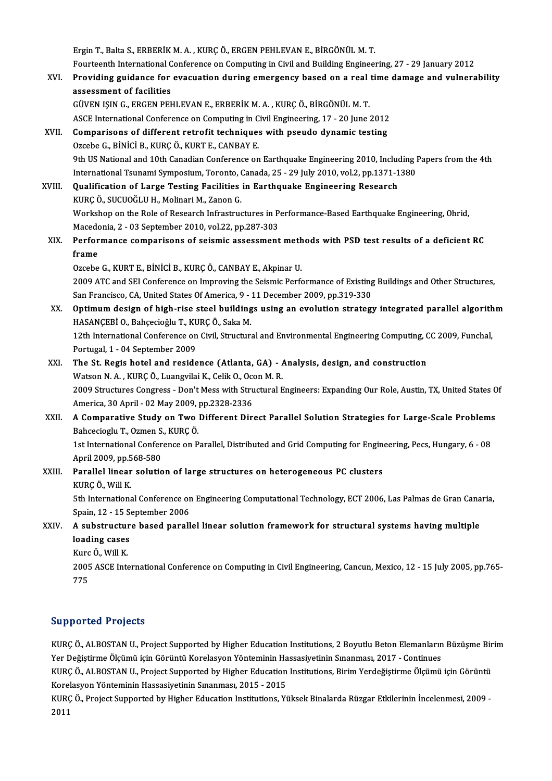Ergin T., Balta S., ERBERİK M. A., KURÇÖ., ERGEN PEHLEVAN E., BİRGÖNÜL M. T. Ergin T., Balta S., ERBERİK M. A. , KURÇ Ö., ERGEN PEHLEVAN E., BİRGÖNÜL M. T.<br>Fourteenth International Conference on Computing in Civil and Building Engineering, 27 - 29 January 2012<br>Previding guidanee for evocuation duri Ergin T., Balta S., ERBERİK M. A. , KURÇ Ö., ERGEN PEHLEVAN E., BİRGÖNÜL M. T.<br>Fourteenth International Conference on Computing in Civil and Building Engineering, 27 - 29 January 2012<br>XVI. Providing guidance for evacuation Fourteenth International C<br>Providing guidance for<br>assessment of facilities<br>CÜVEN ISIN C. ERCEN PEL Providing guidance for evacuation during emergency based on a real time damage and vulnerability<br>assessment of facilities<br>GÜVEN IŞIN G., ERGEN PEHLEVAN E., ERBERİK M. A. , KURÇ Ö., BİRGÖNÜL M. T. ASCE International Conference on Computing in Civil Engineering, 17 - 20 June 2012 GÜVEN IŞIN G., ERGEN PEHLEVAN E., ERBERİK M. A., KURÇ Ö., BİRGÖNÜL M. T.<br>ASCE International Conference on Computing in Civil Engineering, 17 - 20 June 2012<br>XVII. Comparisons of different retrofit techniques with pseudo dyn ASCE International Conference on Computing in C<br>Comparisons of different retrofit techniques<br>Ozcebe G., BİNİCİ B., KURÇÖ., KURT E., CANBAY E.<br>Oth US National and 10th Canadian Conference on 0zcebe G., BİNİCİ B., KURÇ Ö., KURT E., CANBAY E.<br>9th US National and 10th Canadian Conference on Earthquake Engineering 2010, Including Papers from the 4th Ozcebe G., BİNİCİ B., KURÇ Ö., KURT E., CANBAY E.<br>9th US National and 10th Canadian Conference on Earthquake Engineering 2010, Including I<br>International Tsunami Symposium, Toronto, Canada, 25 - 29 July 2010, vol.2, pp.1371 9th US National and 10th Canadian Conference on Earthquake Engineering 2010, Include<br>International Tsunami Symposium, Toronto, Canada, 25 - 29 July 2010, vol.2, pp.1371-1<br>XVIII. Qualification of Large Testing Facilities in International Tsunami Symposium, Toronto, (<br>**Qualification of Large Testing Facilities**<br>KURÇ Ö., SUCUOĞLU H., Molinari M., Zanon G.<br>Workshop on the Pole of Pessensh Infrestrus Qualification of Large Testing Facilities in Earthquake Engineering Research<br>KURÇ Ö., SUCUOĞLU H., Molinari M., Zanon G.<br>Workshop on the Role of Research Infrastructures in Performance-Based Earthquake Engineering, Ohrid, KURÇ Ö., SUCUOĞLU H., Molinari M., Zanon G.<br>Workshop on the Role of Research Infrastructures in P.<br>Macedonia, 2 - 03 September 2010, vol.22, pp.287-303<br>Performanes, comporisons of seismis assessment Workshop on the Role of Research Infrastructures in Performance-Based Earthquake Engineering, Ohrid,<br>Macedonia, 2 - 03 September 2010, vol.22, pp.287-303<br>XIX. Performance comparisons of seismic assessment methods with PSD Macedo<br>Perfor<br>frame Performance comparisons of seismic assessment meth<br>frame<br>Ozcebe G., KURT E., BİNİCİ B., KURÇ Ö., CANBAY E., Akpinar U.<br>2000 ATC and SEL Conference on Improving the Seismic Borfo frame<br>Ozcebe G., KURT E., BİNİCİ B., KURÇ Ö., CANBAY E., Akpinar U.<br>2009 ATC and SEI Conference on Improving the Seismic Performance of Existing Buildings and Other Structures,<br>San Exangiase, CA, United States Of America, Ozcebe G., KURT E., BINICI B., KURÇ Ö., CANBAY E., Akpinar U.<br>2009 ATC and SEI Conference on Improving the Seismic Performance of Existing<br>San Francisco, CA, United States Of America, 9 - 11 December 2009, pp.319-330<br>Ontim 2009 ATC and SEI Conference on Improving the Seismic Performance of Existing Buildings and Other Structures,<br>San Francisco, CA, United States Of America, 9 - 11 December 2009, pp.319-330<br>XX. Optimum design of high-rise ste San Francisco, CA, United States Of America, 9 -<br>Optimum design of high-rise steel building<br>HASANÇEBİ O., Bahçecioğlu T., KURÇ Ö., Saka M.<br>12th International Conference on Civil Structur. 0ptimum design of high-rise steel buildings using an evolution strategy integrated parallel algorith<br>HASANÇEBİ O., Bahçecioğlu T., KURÇ Ö., Saka M.<br>12th International Conference on Civil, Structural and Environmental Engin HASANÇEBİ O., Bahçecioğlu T., KURÇ Ö., Saka M.<br>12th International Conference on Civil, Structural and Environmental Engineering Computing, CC 2009, Funchal,<br>Portugal, 1 - 04 September 2009 12th International Conference on Civil, Structural and Environmental Engineering Computing, C<br>Portugal, 1 - 04 September 2009<br>XXI. The St. Regis hotel and residence (Atlanta, GA) - Analysis, design, and construction<br>Watson Portugal, 1 - 04 September 2009<br>The St. Regis hotel and residence (Atlanta, GA) - 1<br>Watson N. A. , KURÇ Ö., Luangvilai K., Celik O., Ocon M. R.<br>2009 Structures Congress - Don't Mess uith Structurel E The St. Regis hotel and residence (Atlanta, GA) - Analysis, design, and construction<br>Watson N. A. , KURÇ Ö., Luangvilai K., Celik O., Ocon M. R.<br>2009 Structures Congress - Don't Mess with Structural Engineers: Expanding Ou Watson N. A. , KURÇ Ö., Luangvilai K., Celik O., Oco.<br>2009 Structures Congress - Don't Mess with Stru<br>America, 30 April - 02 May 2009, pp.2328-2336<br>A Comparative Study on Two Different Dir. 2009 Structures Congress - Don't Mess with Structural Engineers: Expanding Our Role, Austin, TX, United States C<br>America, 30 April - 02 May 2009, pp.2328-2336<br>XXII. A Comparative Study on Two Different Direct Parallel Solu America, 30 April - 02 May 2009, p<br>**A Comparative Study on Two**<br>Bahcecioglu T., Ozmen S., KURÇ Ö.<br>1st International Conference on B A Comparative Study on Two Different Direct Parallel Solution Strategies for Large-Scale Problems<br>Bahcecioglu T., Ozmen S., KURÇ Ö.<br>1st International Conference on Parallel, Distributed and Grid Computing for Engineering, Bahcecioglu T., Ozmen S.<br>1st International Confer<br>April 2009, pp.568-580<br>Parallal linear solutio 1st International Conference on Parallel, Distributed and Grid Computing for Engine<br>April 2009, pp.568-580<br>XXIII. Parallel linear solution of large structures on heterogeneous PC clusters<br>VIIDC Ö. Will V April 2009, pp.5<br><mark>Parallel linear</mark><br>KURÇ Ö., Will K.<br>Eth Internations Parallel linear solution of large structures on heterogeneous PC clusters<br>KURÇ Ö., Will K.<br>5th International Conference on Engineering Computational Technology, ECT 2006, Las Palmas de Gran Canaria,<br>Spain 12, 15 September KURÇ Ö., Will K.<br>5th International Conference or<br>Spain, 12 - 15 September 2006 5th International Conference on Engineering Computational Technology, ECT 2006, Las Palmas de Gran Cana<br>Spain, 12 - 15 September 2006<br>XXIV. A substructure based parallel linear solution framework for structural systems hav Spain, 12 - 15 September 2006<br>A substructure based paral<br>loading cases A substructure based parallel linear solution framework for structural systems having multiple 2005 ASCE International Conference on Computing in Civil Engineering, Cancun, Mexico, 12 - 15 July 2005, pp.765-<br>775 Kurc Ö., Will K.

#### Supported Projects

Supported Projects<br>KURÇ Ö., ALBOSTAN U., Project Supported by Higher Education Institutions, 2 Boyutlu Beton Elemanların Büzüşme Birim<br>Yar Doğistirme Ölgümü isin Görüntü Karakayan Vönteminin Hassasiyatinin Sınanması 2017, Yupp Yucu Yayyete<br>KURÇ Ö., ALBOSTAN U., Project Supported by Higher Education Institutions, 2 Boyutlu Beton Elemanların<br>Yer Değiştirme Ölçümü için Görüntü Korelasyon Yönteminin Hassasiyetinin Sınanması, 2017 - Continues<br>KU KURÇ Ö., ALBOSTAN U., Project Supported by Higher Education Institutions, 2 Boyutlu Beton Elemanların Büzüşme Bir<br>Yer Değiştirme Ölçümü için Görüntü Korelasyon Yönteminin Hassasiyetinin Sınanması, 2017 - Continues<br>KURÇ Ö., Yer Değiştirme Ölçümü için Görüntü Korelasyon Yönteminin Ha<br>KURÇ Ö., ALBOSTAN U., Project Supported by Higher Education<br>Korelasyon Yönteminin Hassasiyetinin Sınanması, 2015 - 2015<br>KURÇ Ö. Project Supported by Higher Educat

KURÇ Ö., ALBOSTAN U., Project Supported by Higher Education Institutions, Birim Yerdeğiştirme Ölçümü için Görüntü<br>Korelasyon Yönteminin Hassasiyetinin Sınanması, 2015 - 2015<br>KURÇ Ö., Project Supported by Higher Education I Korelasyon Yönteminin Hassasiyetinin Sınanması, 2015 - 2015<br>KURÇ Ö., Project Supported by Higher Education Institutions, Yüksek Binalarda Rüzgar Etkilerinin İncelenmesi, 2009 -<br>2011